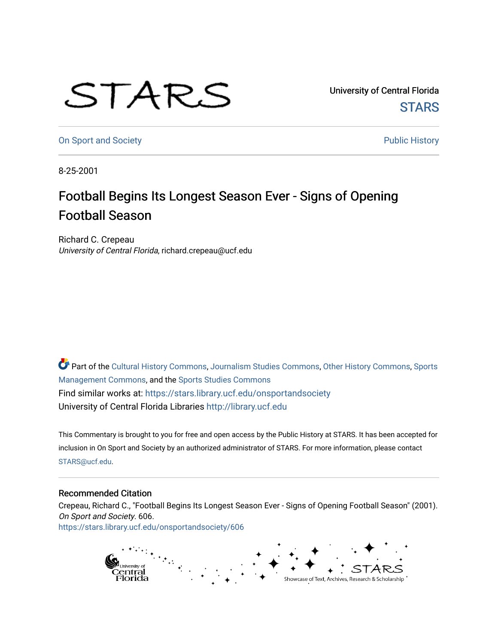## STARS

University of Central Florida **STARS** 

[On Sport and Society](https://stars.library.ucf.edu/onsportandsociety) **Public History Public History** 

8-25-2001

## Football Begins Its Longest Season Ever - Signs of Opening Football Season

Richard C. Crepeau University of Central Florida, richard.crepeau@ucf.edu

Part of the [Cultural History Commons](http://network.bepress.com/hgg/discipline/496?utm_source=stars.library.ucf.edu%2Fonsportandsociety%2F606&utm_medium=PDF&utm_campaign=PDFCoverPages), [Journalism Studies Commons,](http://network.bepress.com/hgg/discipline/333?utm_source=stars.library.ucf.edu%2Fonsportandsociety%2F606&utm_medium=PDF&utm_campaign=PDFCoverPages) [Other History Commons,](http://network.bepress.com/hgg/discipline/508?utm_source=stars.library.ucf.edu%2Fonsportandsociety%2F606&utm_medium=PDF&utm_campaign=PDFCoverPages) [Sports](http://network.bepress.com/hgg/discipline/1193?utm_source=stars.library.ucf.edu%2Fonsportandsociety%2F606&utm_medium=PDF&utm_campaign=PDFCoverPages) [Management Commons](http://network.bepress.com/hgg/discipline/1193?utm_source=stars.library.ucf.edu%2Fonsportandsociety%2F606&utm_medium=PDF&utm_campaign=PDFCoverPages), and the [Sports Studies Commons](http://network.bepress.com/hgg/discipline/1198?utm_source=stars.library.ucf.edu%2Fonsportandsociety%2F606&utm_medium=PDF&utm_campaign=PDFCoverPages) Find similar works at: <https://stars.library.ucf.edu/onsportandsociety> University of Central Florida Libraries [http://library.ucf.edu](http://library.ucf.edu/) 

This Commentary is brought to you for free and open access by the Public History at STARS. It has been accepted for inclusion in On Sport and Society by an authorized administrator of STARS. For more information, please contact [STARS@ucf.edu](mailto:STARS@ucf.edu).

## Recommended Citation

Crepeau, Richard C., "Football Begins Its Longest Season Ever - Signs of Opening Football Season" (2001). On Sport and Society. 606. [https://stars.library.ucf.edu/onsportandsociety/606](https://stars.library.ucf.edu/onsportandsociety/606?utm_source=stars.library.ucf.edu%2Fonsportandsociety%2F606&utm_medium=PDF&utm_campaign=PDFCoverPages)

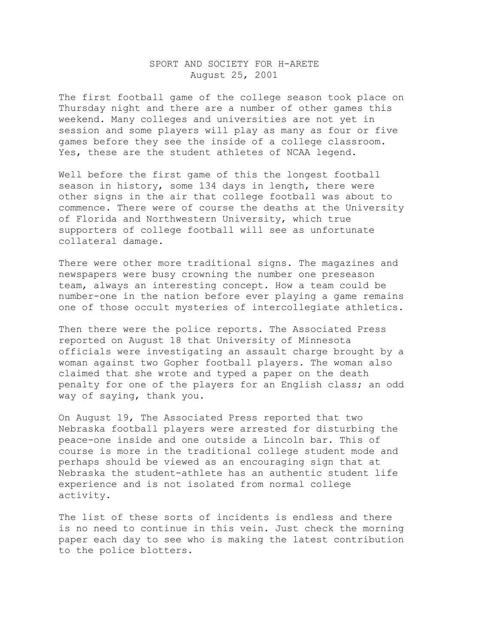## SPORT AND SOCIETY FOR H-ARETE August 25, 2001

The first football game of the college season took place on Thursday night and there are a number of other games this weekend. Many colleges and universities are not yet in session and some players will play as many as four or five games before they see the inside of a college classroom. Yes, these are the student athletes of NCAA legend.

Well before the first game of this the longest football season in history, some 134 days in length, there were other signs in the air that college football was about to commence. There were of course the deaths at the University of Florida and Northwestern University, which true supporters of college football will see as unfortunate collateral damage.

There were other more traditional signs. The magazines and newspapers were busy crowning the number one preseason team, always an interesting concept. How a team could be number-one in the nation before ever playing a game remains one of those occult mysteries of intercollegiate athletics.

Then there were the police reports. The Associated Press reported on August 18 that University of Minnesota officials were investigating an assault charge brought by a woman against two Gopher football players. The woman also claimed that she wrote and typed a paper on the death penalty for one of the players for an English class; an odd way of saying, thank you.

On August 19, The Associated Press reported that two Nebraska football players were arrested for disturbing the peace-one inside and one outside a Lincoln bar. This of course is more in the traditional college student mode and perhaps should be viewed as an encouraging sign that at Nebraska the student-athlete has an authentic student life experience and is not isolated from normal college activity.

The list of these sorts of incidents is endless and there is no need to continue in this vein. Just check the morning paper each day to see who is making the latest contribution to the police blotters.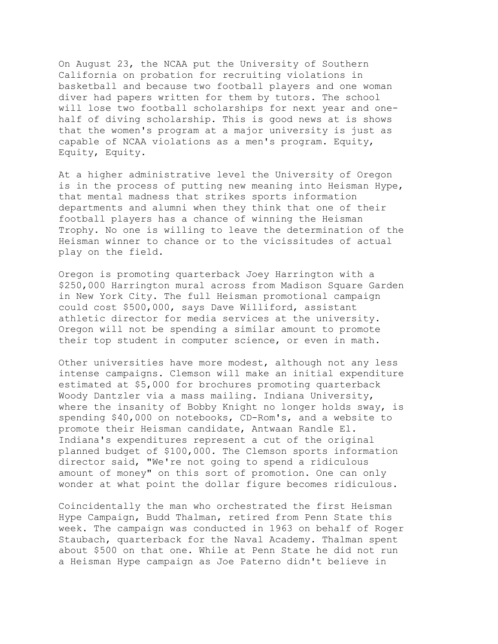On August 23, the NCAA put the University of Southern California on probation for recruiting violations in basketball and because two football players and one woman diver had papers written for them by tutors. The school will lose two football scholarships for next year and onehalf of diving scholarship. This is good news at is shows that the women's program at a major university is just as capable of NCAA violations as a men's program. Equity, Equity, Equity.

At a higher administrative level the University of Oregon is in the process of putting new meaning into Heisman Hype, that mental madness that strikes sports information departments and alumni when they think that one of their football players has a chance of winning the Heisman Trophy. No one is willing to leave the determination of the Heisman winner to chance or to the vicissitudes of actual play on the field.

Oregon is promoting quarterback Joey Harrington with a \$250,000 Harrington mural across from Madison Square Garden in New York City. The full Heisman promotional campaign could cost \$500,000, says Dave Williford, assistant athletic director for media services at the university. Oregon will not be spending a similar amount to promote their top student in computer science, or even in math.

Other universities have more modest, although not any less intense campaigns. Clemson will make an initial expenditure estimated at \$5,000 for brochures promoting quarterback Woody Dantzler via a mass mailing. Indiana University, where the insanity of Bobby Knight no longer holds sway, is spending \$40,000 on notebooks, CD-Rom's, and a website to promote their Heisman candidate, Antwaan Randle El. Indiana's expenditures represent a cut of the original planned budget of \$100,000. The Clemson sports information director said, "We're not going to spend a ridiculous amount of money" on this sort of promotion. One can only wonder at what point the dollar figure becomes ridiculous.

Coincidentally the man who orchestrated the first Heisman Hype Campaign, Budd Thalman, retired from Penn State this week. The campaign was conducted in 1963 on behalf of Roger Staubach, quarterback for the Naval Academy. Thalman spent about \$500 on that one. While at Penn State he did not run a Heisman Hype campaign as Joe Paterno didn't believe in